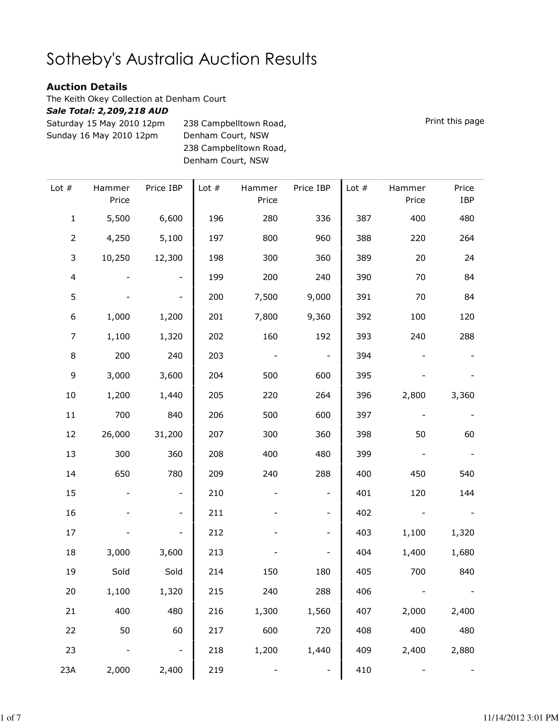## Sotheby's Australia Auction Results

T

## Auction Details

The Keith Okey Collection at Denham Court

## Sale Total: 2,209,218 AUD

Saturday 15 May 2010 12pm Sunday 16 May 2010 12pm 238 Campbelltown Road, Denham Court, NSW 238 Campbelltown Road, Denham Court, NSW

| Price<br>IBP | Hammer<br>Price | Lot $#$ | Price IBP                | Hammer<br>Price | Lot $#$ | Price IBP                | Hammer<br>Price | Lot $#$        |
|--------------|-----------------|---------|--------------------------|-----------------|---------|--------------------------|-----------------|----------------|
| 480          | 400             | 387     | 336                      | 280             | 196     | 6,600                    | 5,500           | $\mathbf 1$    |
| 264          | 220             | 388     | 960                      | 800             | 197     | 5,100                    | 4,250           | $\overline{2}$ |
| 24           | 20              | 389     | 360                      | 300             | 198     | 12,300                   | 10,250          | 3              |
| 84           | 70              | 390     | 240                      | 200             | 199     | $\overline{\phantom{a}}$ |                 | $\overline{4}$ |
| 84           | 70              | 391     | 9,000                    | 7,500           | 200     |                          |                 | 5              |
| 120          | 100             | 392     | 9,360                    | 7,800           | 201     | 1,200                    | 1,000           | 6              |
| 288          | 240             | 393     | 192                      | 160             | 202     | 1,320                    | 1,100           | $\overline{7}$ |
|              |                 | 394     | $\overline{\phantom{a}}$ |                 | 203     | 240                      | 200             | $\,8\,$        |
|              |                 | 395     | 600                      | 500             | 204     | 3,600                    | 3,000           | 9              |
| 3,360        | 2,800           | 396     | 264                      | 220             | 205     | 1,440                    | 1,200           | 10             |
|              |                 | 397     | 600                      | 500             | 206     | 840                      | 700             | $11\,$         |
| 60           | 50              | 398     | 360                      | 300             | 207     | 31,200                   | 26,000          | 12             |
|              |                 | 399     | 480                      | 400             | 208     | 360                      | 300             | 13             |
| 540          | 450             | 400     | 288                      | 240             | 209     | 780                      | 650             | 14             |
| 144          | 120             | 401     | -                        |                 | 210     | $\overline{\phantom{0}}$ |                 | 15             |
|              |                 | 402     | -                        |                 | 211     |                          |                 | 16             |
| 1,320        | 1,100           | 403     | -                        |                 | 212     |                          |                 | 17             |
| 1,680        | 1,400           | 404     | -                        |                 | 213     | 3,600                    | 3,000           | 18             |
| 840          | 700             | 405     | 180                      | 150             | 214     | Sold                     | Sold            | 19             |
|              |                 | 406     | 288                      | 240             | 215     | 1,320                    | 1,100           | 20             |
| 2,400        | 2,000           | 407     | 1,560                    | 1,300           | 216     | 480                      | 400             | 21             |
| 480          | 400             | 408     | 720                      | 600             | 217     | 60                       | 50              | 22             |
| 2,880        | 2,400           | 409     | 1,440                    | 1,200           | 218     | $\overline{\phantom{a}}$ |                 | 23             |
|              |                 | 410     |                          |                 | 219     | 2,400                    | 2,000           | 23A            |

Print this page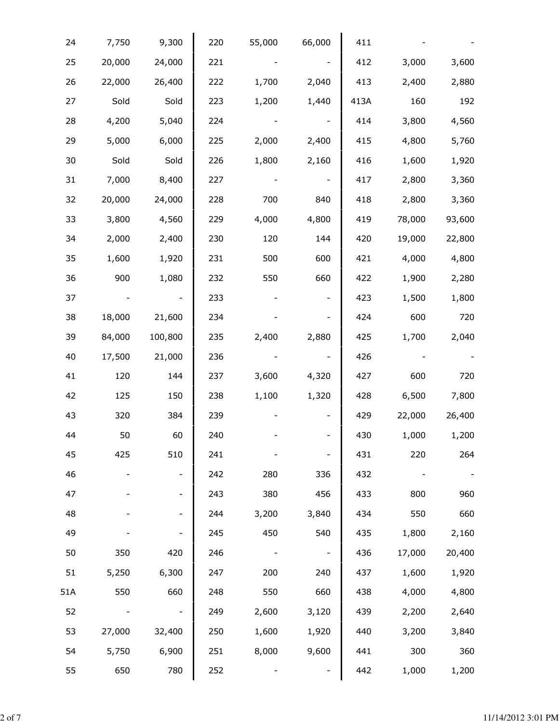| 24  | 7,750          | 9,300                    | 220 | 55,000 | 66,000                   | 411  |        |        |  |
|-----|----------------|--------------------------|-----|--------|--------------------------|------|--------|--------|--|
| 25  | 20,000         | 24,000                   | 221 |        | $\sim$ $-$               | 412  | 3,000  | 3,600  |  |
| 26  | 22,000         | 26,400                   | 222 | 1,700  | 2,040                    | 413  | 2,400  | 2,880  |  |
| 27  | Sold           | Sold                     | 223 | 1,200  | 1,440                    | 413A | 160    | 192    |  |
| 28  | 4,200          | 5,040                    | 224 |        | $\sim$ $-$               | 414  | 3,800  | 4,560  |  |
| 29  | 5,000          | 6,000                    | 225 | 2,000  | 2,400                    | 415  | 4,800  | 5,760  |  |
| 30  | Sold           | Sold                     | 226 | 1,800  | 2,160                    | 416  | 1,600  | 1,920  |  |
| 31  | 7,000          | 8,400                    | 227 |        | $\sim$ $-$               | 417  | 2,800  | 3,360  |  |
| 32  | 20,000         | 24,000                   | 228 | 700    | 840                      | 418  | 2,800  | 3,360  |  |
| 33  | 3,800          | 4,560                    | 229 | 4,000  | 4,800                    | 419  | 78,000 | 93,600 |  |
| 34  | 2,000          | 2,400                    | 230 | 120    | 144                      | 420  | 19,000 | 22,800 |  |
| 35  | 1,600          | 1,920                    | 231 | 500    | 600                      | 421  | 4,000  | 4,800  |  |
| 36  | 900            | 1,080                    | 232 | 550    | 660                      | 422  | 1,900  | 2,280  |  |
| 37  | $\blacksquare$ | $\overline{\phantom{a}}$ | 233 |        | $\overline{\phantom{a}}$ | 423  | 1,500  | 1,800  |  |
| 38  | 18,000         | 21,600                   | 234 |        | $\overline{\phantom{a}}$ | 424  | 600    | 720    |  |
| 39  | 84,000         | 100,800                  | 235 | 2,400  | 2,880                    | 425  | 1,700  | 2,040  |  |
| 40  | 17,500         | 21,000                   | 236 |        | $\overline{\phantom{a}}$ | 426  |        |        |  |
| 41  | 120            | 144                      | 237 | 3,600  | 4,320                    | 427  | 600    | 720    |  |
| 42  | 125            | 150                      | 238 | 1,100  | 1,320                    | 428  | 6,500  | 7,800  |  |
| 43  | 320            | 384                      | 239 |        | $\overline{\phantom{a}}$ | 429  | 22,000 | 26,400 |  |
| 44  | 50             | 60                       | 240 |        |                          | 430  | 1,000  | 1,200  |  |
| 45  | 425            | 510                      | 241 |        |                          | 431  | 220    | 264    |  |
| 46  |                | $\overline{\phantom{0}}$ | 242 | 280    | 336                      | 432  |        |        |  |
| 47  |                | -                        | 243 | 380    | 456                      | 433  | 800    | 960    |  |
| 48  |                |                          | 244 | 3,200  | 3,840                    | 434  | 550    | 660    |  |
| 49  |                |                          | 245 | 450    | 540                      | 435  | 1,800  | 2,160  |  |
| 50  | 350            | 420                      | 246 |        | $\blacksquare$           | 436  | 17,000 | 20,400 |  |
| 51  | 5,250          | 6,300                    | 247 | 200    | 240                      | 437  | 1,600  | 1,920  |  |
| 51A | 550            | 660                      | 248 | 550    | 660                      | 438  | 4,000  | 4,800  |  |
| 52  |                | $\overline{\phantom{a}}$ | 249 | 2,600  | 3,120                    | 439  | 2,200  | 2,640  |  |
| 53  | 27,000         | 32,400                   | 250 | 1,600  | 1,920                    | 440  | 3,200  | 3,840  |  |
| 54  | 5,750          | 6,900                    | 251 | 8,000  | 9,600                    | 441  | 300    | 360    |  |
| 55  | 650            | 780                      | 252 |        |                          | 442  | 1,000  | 1,200  |  |
|     |                |                          |     |        |                          |      |        |        |  |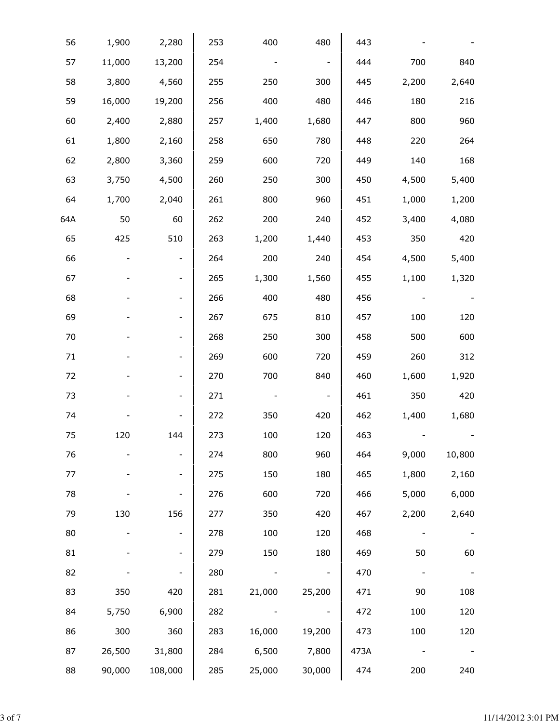|        |       | 443  | 480                      | 400    | 253 | 2,280                    | 1,900  | 56  |
|--------|-------|------|--------------------------|--------|-----|--------------------------|--------|-----|
| 840    | 700   | 444  | $\blacksquare$           |        | 254 | 13,200                   | 11,000 | 57  |
| 2,640  | 2,200 | 445  | 300                      | 250    | 255 | 4,560                    | 3,800  | 58  |
| 216    | 180   | 446  | 480                      | 400    | 256 | 19,200                   | 16,000 | 59  |
| 960    | 800   | 447  | 1,680                    | 1,400  | 257 | 2,880                    | 2,400  | 60  |
| 264    | 220   | 448  | 780                      | 650    | 258 | 2,160                    | 1,800  | 61  |
| 168    | 140   | 449  | 720                      | 600    | 259 | 3,360                    | 2,800  | 62  |
| 5,400  | 4,500 | 450  | 300                      | 250    | 260 | 4,500                    | 3,750  | 63  |
| 1,200  | 1,000 | 451  | 960                      | 800    | 261 | 2,040                    | 1,700  | 64  |
| 4,080  | 3,400 | 452  | 240                      | 200    | 262 | 60                       | 50     | 64A |
| 420    | 350   | 453  | 1,440                    | 1,200  | 263 | 510                      | 425    | 65  |
| 5,400  | 4,500 | 454  | 240                      | 200    | 264 |                          |        | 66  |
| 1,320  | 1,100 | 455  | 1,560                    | 1,300  | 265 |                          |        | 67  |
|        |       | 456  | 480                      | 400    | 266 |                          |        | 68  |
| 120    | 100   | 457  | 810                      | 675    | 267 |                          |        | 69  |
| 600    | 500   | 458  | 300                      | 250    | 268 |                          |        | 70  |
| 312    | 260   | 459  | 720                      | 600    | 269 |                          |        | 71  |
| 1,920  | 1,600 | 460  | 840                      | 700    | 270 |                          |        | 72  |
| 420    | 350   | 461  | $\overline{\phantom{a}}$ |        | 271 |                          |        | 73  |
| 1,680  | 1,400 | 462  | 420                      | 350    | 272 |                          |        | 74  |
|        |       | 463  | 120                      | 100    | 273 | 144                      | 120    | 75  |
| 10,800 | 9,000 | 464  | 960                      | 800    | 274 |                          |        | 76  |
| 2,160  | 1,800 | 465  | 180                      | 150    | 275 | $\overline{\phantom{a}}$ |        | 77  |
| 6,000  | 5,000 | 466  | 720                      | 600    | 276 |                          |        | 78  |
| 2,640  | 2,200 | 467  | 420                      | 350    | 277 | 156                      | 130    | 79  |
|        |       | 468  | 120                      | 100    | 278 |                          |        | 80  |
| 60     | 50    | 469  | 180                      | 150    | 279 |                          |        | 81  |
|        |       | 470  | $\overline{\phantom{a}}$ |        | 280 |                          |        | 82  |
| 108    | 90    | 471  | 25,200                   | 21,000 | 281 | 420                      | 350    | 83  |
| 120    | 100   | 472  |                          |        | 282 | 6,900                    | 5,750  | 84  |
| 120    | 100   | 473  | 19,200                   | 16,000 | 283 | 360                      | 300    | 86  |
|        |       | 473A | 7,800                    | 6,500  | 284 | 31,800                   | 26,500 | 87  |
| 240    | 200   | 474  | 30,000                   | 25,000 | 285 | 108,000                  | 90,000 | 88  |
|        |       |      |                          |        |     |                          |        |     |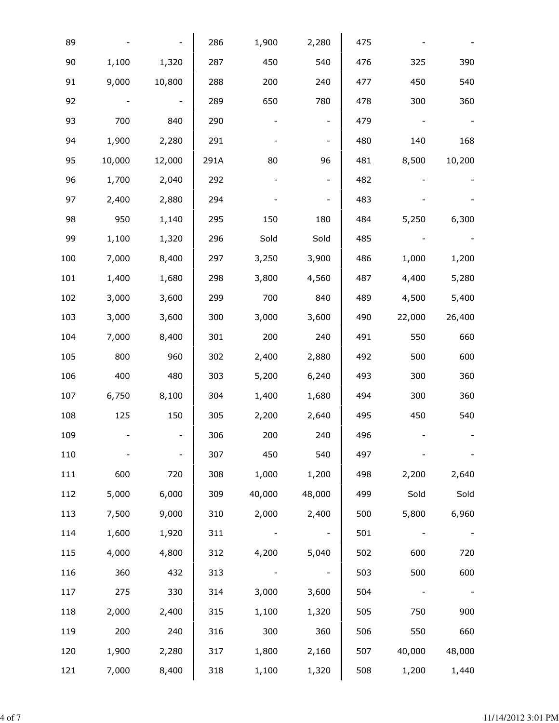| 1,100<br>9,000<br>700<br>1,900<br>10,000 | 1,320<br>10,800<br>840 | 286<br>287<br>288<br>289 | 1,900<br>450<br>200<br>650 | 2,280<br>540<br>240 | 475<br>476<br>477 | 325    | 390    |
|------------------------------------------|------------------------|--------------------------|----------------------------|---------------------|-------------------|--------|--------|
|                                          |                        |                          |                            |                     |                   |        |        |
|                                          |                        |                          |                            |                     |                   |        |        |
|                                          |                        |                          |                            |                     |                   | 450    | 540    |
|                                          |                        |                          |                            | 780                 | 478               | 300    | 360    |
|                                          |                        | 290                      |                            |                     | 479               |        |        |
|                                          |                        | 291                      |                            |                     | 480               | 140    | 168    |
|                                          | 12,000                 | 291A                     | 80                         | 96                  | 481               | 8,500  | 10,200 |
| 1,700                                    | 2,040                  | 292                      |                            |                     | 482               |        |        |
| 2,400                                    | 2,880                  | 294                      |                            |                     | 483               |        |        |
| 950                                      | 1,140                  | 295                      | 150                        | 180                 | 484               | 5,250  | 6,300  |
| 1,100                                    | 1,320                  | 296                      | Sold                       | Sold                | 485               |        |        |
| 7,000                                    | 8,400                  | 297                      | 3,250                      | 3,900               | 486               | 1,000  | 1,200  |
| 1,400                                    | 1,680                  | 298                      | 3,800                      | 4,560               | 487               | 4,400  | 5,280  |
| 3,000                                    | 3,600                  | 299                      | 700                        | 840                 | 489               | 4,500  | 5,400  |
| 3,000                                    | 3,600                  | 300                      | 3,000                      | 3,600               | 490               | 22,000 | 26,400 |
| 7,000                                    | 8,400                  | 301                      | 200                        | 240                 | 491               | 550    | 660    |
| 800                                      | 960                    | 302                      | 2,400                      | 2,880               | 492               | 500    | 600    |
| 400                                      | 480                    | 303                      | 5,200                      | 6,240               | 493               | 300    | 360    |
| 6,750                                    | 8,100                  | 304                      | 1,400                      | 1,680               | 494               | 300    | 360    |
| 125                                      | 150                    | 305                      | 2,200                      | 2,640               | 495               | 450    | 540    |
|                                          |                        | 306                      | 200                        | 240                 | 496               |        |        |
|                                          |                        | 307                      | 450                        | 540                 | 497               |        |        |
| 600                                      | 720                    | 308                      | 1,000                      | 1,200               | 498               | 2,200  | 2,640  |
| 5,000                                    | 6,000                  | 309                      | 40,000                     | 48,000              | 499               | Sold   | Sold   |
| 7,500                                    | 9,000                  | 310                      | 2,000                      | 2,400               | 500               | 5,800  | 6,960  |
| 1,600                                    | 1,920                  | 311                      |                            |                     | 501               |        |        |
| 4,000                                    | 4,800                  | 312                      | 4,200                      | 5,040               | 502               | 600    | 720    |
| 360                                      | 432                    | 313                      |                            |                     | 503               | 500    | 600    |
| 275                                      | 330                    | 314                      | 3,000                      | 3,600               | 504               |        |        |
| 2,000                                    | 2,400                  | 315                      | 1,100                      | 1,320               | 505               | 750    | 900    |
| 200                                      | 240                    | 316                      | 300                        | 360                 | 506               | 550    | 660    |
| 1,900                                    | 2,280                  | 317                      | 1,800                      | 2,160               | 507               | 40,000 | 48,000 |
| 7,000                                    | 8,400                  | 318                      | 1,100                      | 1,320               | 508               | 1,200  | 1,440  |
|                                          |                        | 2,280                    |                            |                     |                   |        |        |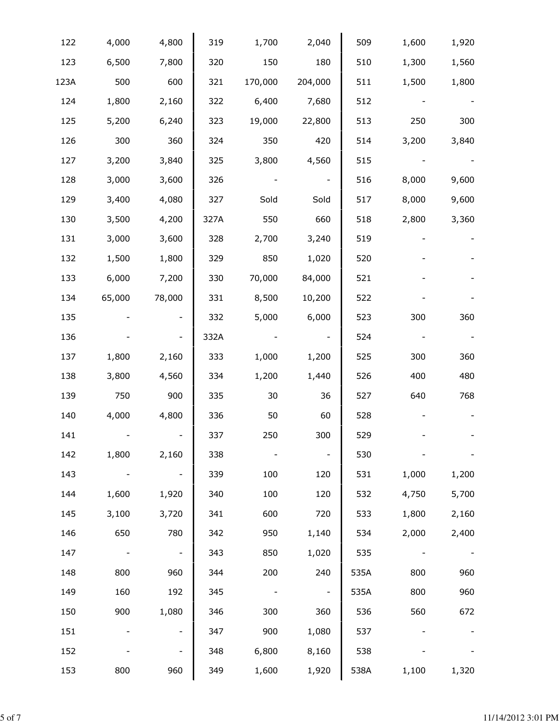| 122  | 4,000  | 4,800                    | 319  | 1,700   | 2,040                    | 509  | 1,600 | 1,920 |
|------|--------|--------------------------|------|---------|--------------------------|------|-------|-------|
| 123  | 6,500  | 7,800                    | 320  | 150     | 180                      | 510  | 1,300 | 1,560 |
| 123A | 500    | 600                      | 321  | 170,000 | 204,000                  | 511  | 1,500 | 1,800 |
| 124  | 1,800  | 2,160                    | 322  | 6,400   | 7,680                    | 512  |       |       |
| 125  | 5,200  | 6,240                    | 323  | 19,000  | 22,800                   | 513  | 250   | 300   |
| 126  | 300    | 360                      | 324  | 350     | 420                      | 514  | 3,200 | 3,840 |
| 127  | 3,200  | 3,840                    | 325  | 3,800   | 4,560                    | 515  |       |       |
| 128  | 3,000  | 3,600                    | 326  |         | $\overline{\phantom{a}}$ | 516  | 8,000 | 9,600 |
| 129  | 3,400  | 4,080                    | 327  | Sold    | Sold                     | 517  | 8,000 | 9,600 |
| 130  | 3,500  | 4,200                    | 327A | 550     | 660                      | 518  | 2,800 | 3,360 |
| 131  | 3,000  | 3,600                    | 328  | 2,700   | 3,240                    | 519  |       |       |
| 132  | 1,500  | 1,800                    | 329  | 850     | 1,020                    | 520  |       |       |
| 133  | 6,000  | 7,200                    | 330  | 70,000  | 84,000                   | 521  |       |       |
| 134  | 65,000 | 78,000                   | 331  | 8,500   | 10,200                   | 522  |       |       |
| 135  |        | $\overline{\phantom{0}}$ | 332  | 5,000   | 6,000                    | 523  | 300   | 360   |
| 136  |        | $\overline{\phantom{a}}$ | 332A |         | $\overline{\phantom{a}}$ | 524  |       |       |
| 137  | 1,800  | 2,160                    | 333  | 1,000   | 1,200                    | 525  | 300   | 360   |
| 138  | 3,800  | 4,560                    | 334  | 1,200   | 1,440                    | 526  | 400   | 480   |
| 139  | 750    | 900                      | 335  | 30      | 36                       | 527  | 640   | 768   |
| 140  | 4,000  | 4,800                    | 336  | 50      | 60                       | 528  |       |       |
| 141  |        |                          | 337  | 250     | 300                      | 529  |       |       |
| 142  | 1,800  | 2,160                    | 338  |         |                          | 530  |       |       |
| 143  |        | $\overline{\phantom{a}}$ | 339  | 100     | 120                      | 531  | 1,000 | 1,200 |
| 144  | 1,600  | 1,920                    | 340  | 100     | 120                      | 532  | 4,750 | 5,700 |
| 145  | 3,100  | 3,720                    | 341  | 600     | 720                      | 533  | 1,800 | 2,160 |
| 146  | 650    | 780                      | 342  | 950     | 1,140                    | 534  | 2,000 | 2,400 |
| 147  |        | $\blacksquare$           | 343  | 850     | 1,020                    | 535  |       |       |
| 148  | 800    | 960                      | 344  | 200     | 240                      | 535A | 800   | 960   |
| 149  | 160    | 192                      | 345  |         | $\overline{\phantom{a}}$ | 535A | 800   | 960   |
| 150  | 900    | 1,080                    | 346  | 300     | 360                      | 536  | 560   | 672   |
| 151  |        | $\overline{\phantom{0}}$ | 347  | 900     | 1,080                    | 537  |       |       |
| 152  |        | $\overline{\phantom{0}}$ | 348  | 6,800   | 8,160                    | 538  |       |       |
| 153  | 800    | 960                      | 349  | 1,600   | 1,920                    | 538A | 1,100 | 1,320 |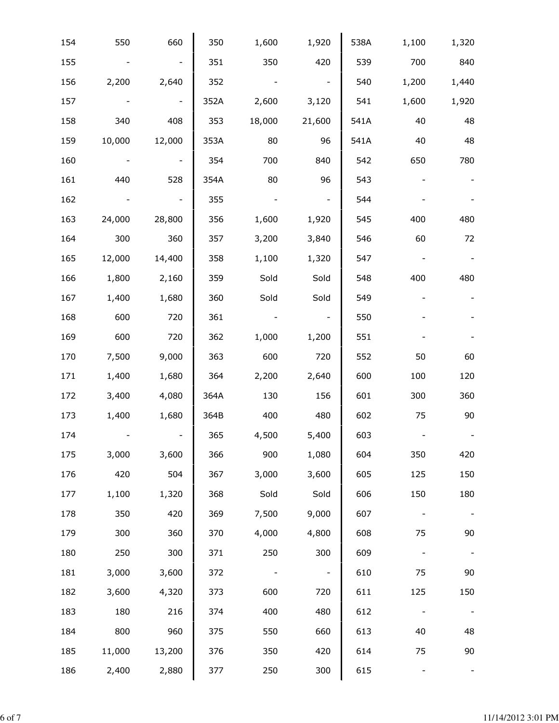| 154 | 550    | 660    | 350  | 1,600  | 1,920                    | 538A | 1,100                        | 1,320 |
|-----|--------|--------|------|--------|--------------------------|------|------------------------------|-------|
| 155 |        |        | 351  | 350    | 420                      | 539  | 700                          | 840   |
| 156 | 2,200  | 2,640  | 352  |        |                          | 540  | 1,200                        | 1,440 |
| 157 |        |        | 352A | 2,600  | 3,120                    | 541  | 1,600                        | 1,920 |
| 158 | 340    | 408    | 353  | 18,000 | 21,600                   | 541A | 40                           | 48    |
| 159 | 10,000 | 12,000 | 353A | 80     | 96                       | 541A | 40                           | 48    |
| 160 |        |        | 354  | 700    | 840                      | 542  | 650                          | 780   |
| 161 | 440    | 528    | 354A | 80     | 96                       | 543  |                              |       |
| 162 |        |        | 355  |        | $\overline{\phantom{a}}$ | 544  |                              |       |
| 163 | 24,000 | 28,800 | 356  | 1,600  | 1,920                    | 545  | 400                          | 480   |
| 164 | 300    | 360    | 357  | 3,200  | 3,840                    | 546  | 60                           | 72    |
| 165 | 12,000 | 14,400 | 358  | 1,100  | 1,320                    | 547  |                              |       |
| 166 | 1,800  | 2,160  | 359  | Sold   | Sold                     | 548  | 400                          | 480   |
| 167 | 1,400  | 1,680  | 360  | Sold   | Sold                     | 549  |                              |       |
| 168 | 600    | 720    | 361  |        | $\overline{\phantom{a}}$ | 550  |                              |       |
| 169 | 600    | 720    | 362  | 1,000  | 1,200                    | 551  |                              |       |
| 170 | 7,500  | 9,000  | 363  | 600    | 720                      | 552  | 50                           | 60    |
| 171 | 1,400  | 1,680  | 364  | 2,200  | 2,640                    | 600  | 100                          | 120   |
| 172 | 3,400  | 4,080  | 364A | 130    | 156                      | 601  | 300                          | 360   |
| 173 | 1,400  | 1,680  | 364B | 400    | 480                      | 602  | 75                           | 90    |
| 174 |        |        | 365  | 4,500  | 5,400                    | 603  |                              |       |
| 175 | 3,000  | 3,600  | 366  | 900    | 1,080                    | 604  | 350                          | 420   |
| 176 | 420    | 504    | 367  | 3,000  | 3,600                    | 605  | 125                          | 150   |
| 177 | 1,100  | 1,320  | 368  | Sold   | Sold                     | 606  | 150                          | 180   |
| 178 | 350    | 420    | 369  | 7,500  | 9,000                    | 607  |                              |       |
| 179 | 300    | 360    | 370  | 4,000  | 4,800                    | 608  | 75                           | 90    |
| 180 | 250    | 300    | 371  | 250    | 300                      | 609  |                              |       |
| 181 | 3,000  | 3,600  | 372  |        | $\overline{\phantom{a}}$ | 610  | 75                           | 90    |
| 182 | 3,600  | 4,320  | 373  | 600    | 720                      | 611  | 125                          | 150   |
| 183 | 180    | 216    | 374  | 400    | 480                      | 612  | $\qquad \qquad \blacksquare$ |       |
| 184 | 800    | 960    | 375  | 550    | 660                      | 613  | 40                           | 48    |
| 185 | 11,000 | 13,200 | 376  | 350    | 420                      | 614  | 75                           | 90    |
| 186 | 2,400  | 2,880  | 377  | 250    | 300                      | 615  |                              |       |
|     |        |        |      |        |                          |      |                              |       |